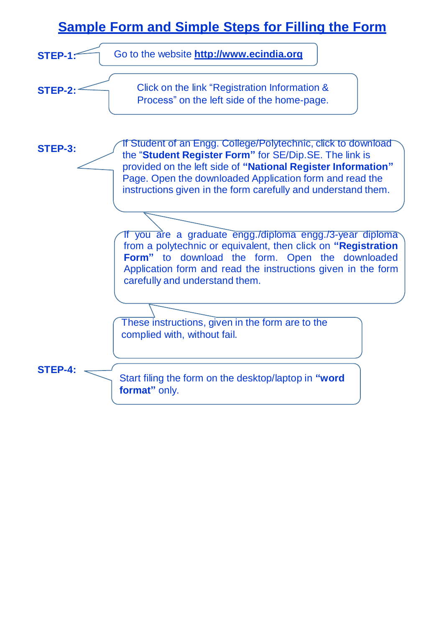# **Sample Form and Simple Steps for Filling the Form**

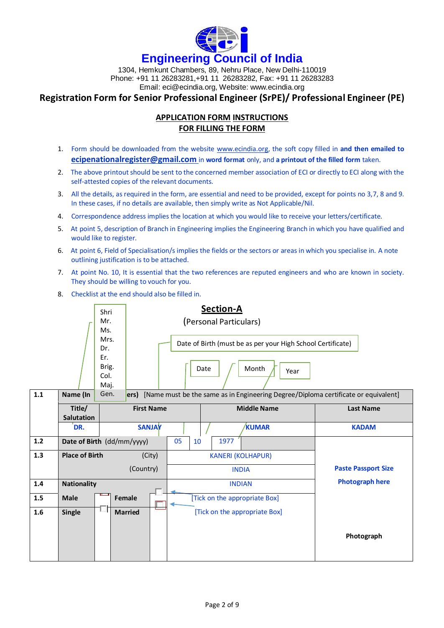

1304, Hemkunt Chambers, 89, Nehru Place, New Delhi-110019 Phone: +91 11 26283281,+91 11 26283282, Fax: +91 11 26283283 Email: [eci@ecindia.org,](mailto:eci@ecindia.org) Website: [www.ecindia.org](http://www.ecindia.org/)

### **Registration Form for Senior Professional Engineer (SrPE)/ Professional Engineer (PE)**

#### **APPLICATION FORM INSTRUCTIONS FOR FILLING THE FORM**

- 1. Form should be downloaded from the website [www.ecindia.org,](http://www.ecindia.org/) the soft copy filled in **and then emailed to [ecipenationalregister@gmail.com](mailto:ecipenationalregister@gmail.com)** in **word format** only, and **a printout of the filled form** taken.
- 2. The above printout should be sent to the concerned member association of ECI or directly to ECI along with the self-attested copies of the relevant documents.
- 3. All the details, as required in the form, are essential and need to be provided, except for points no 3,7, 8 and 9. In these cases, if no details are available, then simply write as Not Applicable/Nil.
- 4. Correspondence address implies the location at which you would like to receive your letters/certificate.
- 5. At point 5, description of Branch in Engineering implies the Engineering Branch in which you have qualified and would like to register.
- 6. At point 6, Field of Specialisation/s implies the fields or the sectors or areas in which you specialise in. A note outlining justification is to be attached.
- 7. At point No. 10, It is essential that the two references are reputed engineers and who are known in society. They should be willing to vouch for you.
- 8. Checklist at the end should also be filled in.

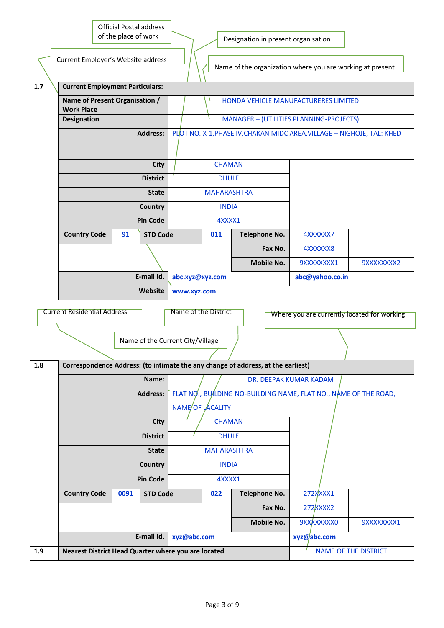|     |                                                     | of the place of work | <b>Official Postal address</b> |                                                                  |                      | Designation in present organisation                                              |                                                                        |                      |  |  |  |
|-----|-----------------------------------------------------|----------------------|--------------------------------|------------------------------------------------------------------|----------------------|----------------------------------------------------------------------------------|------------------------------------------------------------------------|----------------------|--|--|--|
|     | Current Employer's Website address                  |                      |                                |                                                                  |                      |                                                                                  | Name of the organization where you are working at present              |                      |  |  |  |
| 1.7 | <b>Current Employment Particulars:</b>              |                      |                                |                                                                  |                      |                                                                                  |                                                                        |                      |  |  |  |
|     | Name of Present Organisation /<br><b>Work Place</b> |                      |                                |                                                                  |                      |                                                                                  | HONDA VEHICLE MANUFACTURERES LIMITED                                   |                      |  |  |  |
|     | <b>Designation</b><br><b>Address:</b>               |                      |                                |                                                                  |                      |                                                                                  | <b>MANAGER - (UTILITIES PLANNING-PROJECTS)</b>                         |                      |  |  |  |
|     |                                                     |                      |                                |                                                                  |                      |                                                                                  | PLOT NO. X-1, PHASE IV, CHAKAN MIDC AREA, VILLAGE - NIGHOJE, TAL: KHED |                      |  |  |  |
|     |                                                     |                      | <b>City</b>                    |                                                                  | <b>CHAMAN</b>        |                                                                                  |                                                                        |                      |  |  |  |
|     |                                                     |                      | <b>District</b>                |                                                                  | <b>DHULE</b>         |                                                                                  |                                                                        |                      |  |  |  |
|     |                                                     |                      | <b>State</b>                   |                                                                  | <b>MAHARASHTRA</b>   |                                                                                  |                                                                        |                      |  |  |  |
|     |                                                     |                      | Country                        |                                                                  | <b>INDIA</b>         |                                                                                  |                                                                        |                      |  |  |  |
|     |                                                     |                      | <b>Pin Code</b>                |                                                                  | 4XXXX1               |                                                                                  |                                                                        |                      |  |  |  |
|     | <b>Country Code</b>                                 | 91                   | <b>STD Code</b>                |                                                                  | 011                  | <b>Telephone No.</b>                                                             | 4XXXXXX7                                                               |                      |  |  |  |
|     |                                                     |                      |                                |                                                                  |                      | Fax No.                                                                          | 4XXXXXX8                                                               |                      |  |  |  |
|     |                                                     |                      |                                | <b>Mobile No.</b>                                                |                      |                                                                                  | 9XXXXXXXX1                                                             | 9XXXXXXXX2           |  |  |  |
|     |                                                     |                      | E-mail Id.                     | abc.xyz@xyz.com                                                  |                      |                                                                                  | abc@yahoo.co.in                                                        |                      |  |  |  |
|     |                                                     |                      | Website                        | www.xyz.com                                                      |                      |                                                                                  |                                                                        |                      |  |  |  |
|     | <b>Current Residential Address</b>                  |                      |                                |                                                                  | Name of the District |                                                                                  | Where you are currently located for working                            |                      |  |  |  |
|     |                                                     |                      |                                | Name of the Current City/Village                                 |                      |                                                                                  |                                                                        |                      |  |  |  |
| 1.8 |                                                     |                      |                                |                                                                  |                      | Correspondence Address: (to intimate the any change of address, at the earliest) |                                                                        |                      |  |  |  |
|     |                                                     |                      | Name:                          | DR. DEEPAK KUMAR KADAM                                           |                      |                                                                                  |                                                                        |                      |  |  |  |
|     |                                                     |                      | <b>Address:</b>                | FLAT NO., BU/LDING NO-BUILDING NAME, FLAT NO., NAME OF THE ROAD, |                      |                                                                                  |                                                                        |                      |  |  |  |
|     |                                                     |                      |                                |                                                                  | NAME/OF LACALITY     |                                                                                  |                                                                        |                      |  |  |  |
|     |                                                     |                      | <b>City</b>                    |                                                                  | <b>CHAMAN</b>        |                                                                                  |                                                                        |                      |  |  |  |
|     |                                                     |                      | <b>District</b>                |                                                                  | <b>DHULE</b>         |                                                                                  |                                                                        |                      |  |  |  |
|     |                                                     |                      | <b>State</b>                   |                                                                  | <b>MAHARASHTRA</b>   |                                                                                  |                                                                        |                      |  |  |  |
|     |                                                     |                      | Country                        |                                                                  | <b>INDIA</b>         |                                                                                  |                                                                        |                      |  |  |  |
|     | <b>Pin Code</b>                                     |                      |                                | 4XXXX1                                                           |                      |                                                                                  |                                                                        |                      |  |  |  |
|     | <b>Country Code</b>                                 | 0091                 | <b>STD Code</b>                |                                                                  | 022                  | Telephone No.                                                                    | 272XXXX1                                                               |                      |  |  |  |
|     |                                                     |                      |                                |                                                                  |                      | Fax No.                                                                          | 272XXXX2                                                               |                      |  |  |  |
|     |                                                     |                      |                                |                                                                  |                      | Mobile No.                                                                       | 9XXXXXXXX0                                                             | 9XXXXXXXX1           |  |  |  |
|     | E-mail Id.                                          |                      |                                | xyz@abc.com                                                      |                      |                                                                                  | xyz@abc.com                                                            |                      |  |  |  |
| 1.9 | Nearest District Head Quarter where you are located |                      |                                |                                                                  |                      |                                                                                  |                                                                        | NAME OF THE DISTRICT |  |  |  |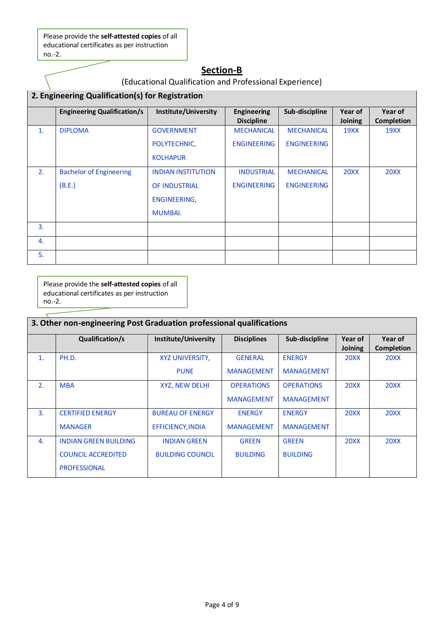Please provide the **self-attested copies** of all educational certificates as per instruction no.-2.

## **Section-B**

## (Educational Qualification and Professional Experience)

|                | 2. Engineering Qualification(s) for Registration |                           |                                         |                    |                           |                              |  |  |
|----------------|--------------------------------------------------|---------------------------|-----------------------------------------|--------------------|---------------------------|------------------------------|--|--|
|                | <b>Engineering Qualification/s</b>               | Institute/University      | <b>Engineering</b><br><b>Discipline</b> | Sub-discipline     | Year of<br><b>Joining</b> | Year of<br><b>Completion</b> |  |  |
| $\mathbf{1}$ . | <b>DIPLOMA</b>                                   | <b>GOVERNMENT</b>         | <b>MECHANICAL</b>                       | <b>MECHANICAL</b>  | <b>19XX</b>               | <b>19XX</b>                  |  |  |
|                |                                                  | POLYTECHNIC,              | <b>ENGINEERING</b>                      | <b>ENGINEERING</b> |                           |                              |  |  |
|                |                                                  | <b>KOLHAPUR</b>           |                                         |                    |                           |                              |  |  |
| 2.             | <b>Bachelor of Engineering</b>                   | <b>INDIAN INSTITUTION</b> | <b>INDUSTRIAL</b>                       | <b>MECHANICAL</b>  | <b>20XX</b>               | <b>20XX</b>                  |  |  |
|                | (B.E.)                                           | <b>OF INDUSTRIAL</b>      | <b>ENGINEERING</b>                      | <b>ENGINEERING</b> |                           |                              |  |  |
|                |                                                  | ENGINEERING,              |                                         |                    |                           |                              |  |  |
|                |                                                  | <b>MUMBAI.</b>            |                                         |                    |                           |                              |  |  |
| 3.             |                                                  |                           |                                         |                    |                           |                              |  |  |
| 4.             |                                                  |                           |                                         |                    |                           |                              |  |  |
| 5.             |                                                  |                           |                                         |                    |                           |                              |  |  |

Please provide the **self-attested copies** of all educational certificates as per instruction no.-2.

|                | 3. Other non-engineering Post Graduation professional qualifications             |                                                |                                        |                                        |                           |                              |  |  |
|----------------|----------------------------------------------------------------------------------|------------------------------------------------|----------------------------------------|----------------------------------------|---------------------------|------------------------------|--|--|
|                | Qualification/s                                                                  | Institute/University                           | <b>Disciplines</b>                     | Sub-discipline                         | Year of<br><b>Joining</b> | Year of<br><b>Completion</b> |  |  |
| $\mathbf{1}$ . | PH.D.                                                                            | XYZ UNIVERSITY,<br><b>PUNE</b>                 | <b>GENERAL</b><br><b>MANAGEMENT</b>    | <b>ENERGY</b><br><b>MANAGEMENT</b>     | <b>20XX</b>               | <b>20XX</b>                  |  |  |
| 2.             | <b>MBA</b>                                                                       | XYZ, NEW DELHI                                 | <b>OPERATIONS</b><br><b>MANAGEMENT</b> | <b>OPERATIONS</b><br><b>MANAGEMENT</b> | <b>20XX</b>               | <b>20XX</b>                  |  |  |
| $\mathbf{B}$   | <b>CERTIFIED ENERGY</b><br><b>MANAGER</b>                                        | <b>BUREAU OF ENERGY</b><br>EFFICIENCY, INDIA   | <b>ENERGY</b><br><b>MANAGEMENT</b>     | <b>ENERGY</b><br><b>MANAGEMENT</b>     | <b>20XX</b>               | <b>20XX</b>                  |  |  |
| 4.             | <b>INDIAN GREEN BUILDING</b><br><b>COUNCIL ACCREDITED</b><br><b>PROFESSIONAL</b> | <b>INDIAN GREEN</b><br><b>BUILDING COUNCIL</b> | <b>GREEN</b><br><b>BUILDING</b>        | <b>GREEN</b><br><b>BUILDING</b>        | <b>20XX</b>               | <b>20XX</b>                  |  |  |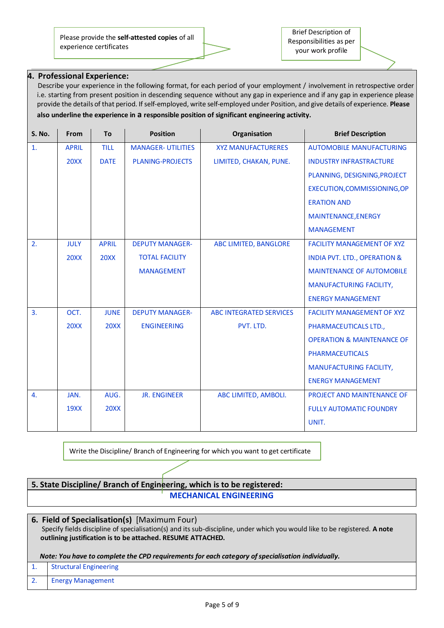Please provide the **self-attested copies** of all experience certificates

#### **4. Professional Experience:**

Describe your experience in the following format, for each period of your employment / involvement in retrospective order i.e. starting from present position in descending sequence without any gap in experience and if any gap in experience please provide the details of that period. Ifself-employed, write self-employed under Position, and give details of experience. **Please also underline the experience in a responsible position of significant engineering activity.**

| S. No.           | From         | <b>To</b>    | <b>Position</b>           | Organisation                   | <b>Brief Description</b>                |
|------------------|--------------|--------------|---------------------------|--------------------------------|-----------------------------------------|
| 1.               | <b>APRIL</b> | <b>TILL</b>  | <b>MANAGER- UTILITIES</b> | <b>XYZ MANUFACTURERES</b>      | <b>AUTOMOBILE MANUFACTURING</b>         |
|                  | <b>20XX</b>  | <b>DATE</b>  | <b>PLANING-PROJECTS</b>   | LIMITED, CHAKAN, PUNE.         | <b>INDUSTRY INFRASTRACTURE</b>          |
|                  |              |              |                           |                                | PLANNING, DESIGNING, PROJECT            |
|                  |              |              |                           |                                | EXECUTION, COMMISSIONING, OP            |
|                  |              |              |                           |                                | <b>ERATION AND</b>                      |
|                  |              |              |                           |                                | <b>MAINTENANCE, ENERGY</b>              |
|                  |              |              |                           |                                | <b>MANAGEMENT</b>                       |
| 2.               | <b>JULY</b>  | <b>APRIL</b> | <b>DEPUTY MANAGER-</b>    | ABC LIMITED, BANGLORE          | <b>FACILITY MANAGEMENT OF XYZ</b>       |
|                  | <b>20XX</b>  | <b>20XX</b>  | <b>TOTAL FACILITY</b>     |                                | <b>INDIA PVT. LTD., OPERATION &amp;</b> |
|                  |              |              | <b>MANAGEMENT</b>         |                                | <b>MAINTENANCE OF AUTOMOBILE</b>        |
|                  |              |              |                           |                                | <b>MANUFACTURING FACILITY,</b>          |
|                  |              |              |                           |                                | <b>ENERGY MANAGEMENT</b>                |
| $\overline{3}$ . | OCT.         | <b>JUNE</b>  | <b>DEPUTY MANAGER-</b>    | <b>ABC INTEGRATED SERVICES</b> | <b>FACILITY MANAGEMENT OF XYZ</b>       |
|                  | <b>20XX</b>  | <b>20XX</b>  | <b>ENGINEERING</b>        | PVT. LTD.                      | PHARMACEUTICALS LTD.,                   |
|                  |              |              |                           |                                | <b>OPERATION &amp; MAINTENANCE OF</b>   |
|                  |              |              |                           |                                | <b>PHARMACEUTICALS</b>                  |
|                  |              |              |                           |                                | MANUFACTURING FACILITY,                 |
|                  |              |              |                           |                                | <b>ENERGY MANAGEMENT</b>                |
| 4.               | JAN.         | AUG.         | <b>JR. ENGINEER</b>       | ABC LIMITED, AMBOLI.           | PROJECT AND MAINTENANCE OF              |
|                  | <b>19XX</b>  | <b>20XX</b>  |                           |                                | <b>FULLY AUTOMATIC FOUNDRY</b>          |
|                  |              |              |                           |                                | UNIT.                                   |

Write the Discipline/ Branch of Engineering for which you want to get certificate

**5. State Discipline/ Branch of Engineering, which is to be registered: MECHANICAL ENGINEERING**

#### **6. Field of Specialisation(s)** [Maximum Four)

Specify fields discipline of specialisation(s) and its sub-discipline, under which you would like to be registered. **A note outlining justification is to be attached. RESUME ATTACHED.**

#### *Note: You have to complete the CPD requirements for each category ofspecialisation individually.*

1. Structural Engineering

2. Energy Management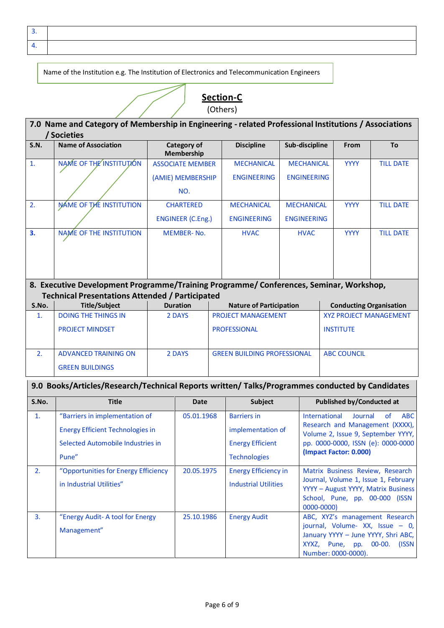3. 4.

Name of the Institution e.g. The Institution of Electronics and Telecommunication Engineers



| <b>S.N.</b>             | <b>Name of Association</b>                                                                      |  | Category of<br>Membership |                             | <b>Discipline</b>                                           | Sub-discipline     |                                                                                                                                         | From                                                            | <b>To</b>        |  |  |
|-------------------------|-------------------------------------------------------------------------------------------------|--|---------------------------|-----------------------------|-------------------------------------------------------------|--------------------|-----------------------------------------------------------------------------------------------------------------------------------------|-----------------------------------------------------------------|------------------|--|--|
| 1.                      | NAME OF THE INSTITUTION                                                                         |  | <b>ASSOCIATE MEMBER</b>   |                             | <b>MECHANICAL</b>                                           | <b>MECHANICAL</b>  |                                                                                                                                         | <b>YYYY</b>                                                     | <b>TILL DATE</b> |  |  |
|                         |                                                                                                 |  | (AMIE) MEMBERSHIP         |                             | <b>ENGINEERING</b><br><b>ENGINEERING</b>                    |                    |                                                                                                                                         |                                                                 |                  |  |  |
|                         |                                                                                                 |  | NO.                       |                             |                                                             |                    |                                                                                                                                         |                                                                 |                  |  |  |
| 2.                      | NAME OF THE INSTITUTION                                                                         |  | <b>CHARTERED</b>          |                             | <b>MECHANICAL</b>                                           | <b>MECHANICAL</b>  |                                                                                                                                         | <b>YYYY</b>                                                     | <b>TILL DATE</b> |  |  |
|                         |                                                                                                 |  | <b>ENGINEER (C.Eng.)</b>  |                             | <b>ENGINEERING</b>                                          | <b>ENGINEERING</b> |                                                                                                                                         |                                                                 |                  |  |  |
| 3.                      | NAME OF THE INSTITUTION                                                                         |  | <b>MEMBER-No.</b>         |                             | <b>HVAC</b>                                                 | <b>HVAC</b>        |                                                                                                                                         | <b>YYYY</b>                                                     | <b>TILL DATE</b> |  |  |
|                         | 8. Executive Development Programme/Training Programme/ Conferences, Seminar, Workshop,          |  |                           |                             |                                                             |                    |                                                                                                                                         |                                                                 |                  |  |  |
|                         | <b>Technical Presentations Attended / Participated</b><br><b>Title/Subject</b>                  |  | <b>Duration</b>           |                             |                                                             |                    |                                                                                                                                         |                                                                 |                  |  |  |
| S.No.<br>$\mathbf{1}$ . | <b>DOING THE THINGS IN</b>                                                                      |  | 2 DAYS                    |                             | <b>Nature of Participation</b><br><b>PROJECT MANAGEMENT</b> |                    |                                                                                                                                         | <b>Conducting Organisation</b><br><b>XYZ PROJECT MANAGEMENT</b> |                  |  |  |
|                         | <b>PROJECT MINDSET</b>                                                                          |  |                           |                             | <b>PROFESSIONAL</b>                                         |                    |                                                                                                                                         | <b>INSTITUTE</b>                                                |                  |  |  |
|                         |                                                                                                 |  |                           |                             |                                                             |                    |                                                                                                                                         | <b>ABC COUNCIL</b>                                              |                  |  |  |
| 2.                      | <b>ADVANCED TRAINING ON</b><br><b>GREEN BUILDINGS</b>                                           |  | 2 DAYS                    |                             | <b>GREEN BUILDING PROFESSIONAL</b>                          |                    |                                                                                                                                         |                                                                 |                  |  |  |
|                         | 9.0 Books/Articles/Research/Technical Reports written/ Talks/Programmes conducted by Candidates |  |                           |                             |                                                             |                    |                                                                                                                                         |                                                                 |                  |  |  |
| S.No.                   | <b>Title</b>                                                                                    |  | Date                      | <b>Subject</b>              |                                                             |                    | <b>Published by/Conducted at</b>                                                                                                        |                                                                 |                  |  |  |
| 1.                      | "Barriers in implementation of                                                                  |  | 05.01.1968                |                             | <b>Barriers in</b>                                          |                    | International                                                                                                                           | Journal                                                         | of<br><b>ABC</b> |  |  |
|                         | <b>Energy Efficient Technologies in</b>                                                         |  |                           |                             | implementation of                                           |                    | Research and Management (XXXX),<br>Volume 2, Issue 9, September YYYY,                                                                   |                                                                 |                  |  |  |
|                         | Selected Automobile Industries in                                                               |  |                           |                             | <b>Energy Efficient</b>                                     |                    | pp. 0000-0000, ISSN (e): 0000-0000                                                                                                      |                                                                 |                  |  |  |
|                         | Pune"                                                                                           |  |                           |                             | <b>Technologies</b>                                         |                    | (Impact Factor: 0.000)                                                                                                                  |                                                                 |                  |  |  |
| 2.                      | "Opportunities for Energy Efficiency                                                            |  | 20.05.1975                |                             | <b>Energy Efficiency in</b>                                 |                    | Matrix Business Review, Research                                                                                                        |                                                                 |                  |  |  |
|                         | in Industrial Utilities"                                                                        |  |                           | <b>Industrial Utilities</b> |                                                             |                    | Journal, Volume 1, Issue 1, February<br>YYYY - August YYYY, Matrix Business<br>School, Pune, pp. 00-000 (ISSN<br>0000-0000)             |                                                                 |                  |  |  |
| 3.                      | "Energy Audit- A tool for Energy<br>Management"                                                 |  | 25.10.1986                |                             | <b>Energy Audit</b>                                         |                    | ABC, XYZ's management Research<br>journal, Volume-XX, Issue - 0,<br>January YYYY - June YYYY, Shri ABC,<br>XYXZ, Pune, pp. 00-00. (ISSN |                                                                 |                  |  |  |

Number: 0000-0000).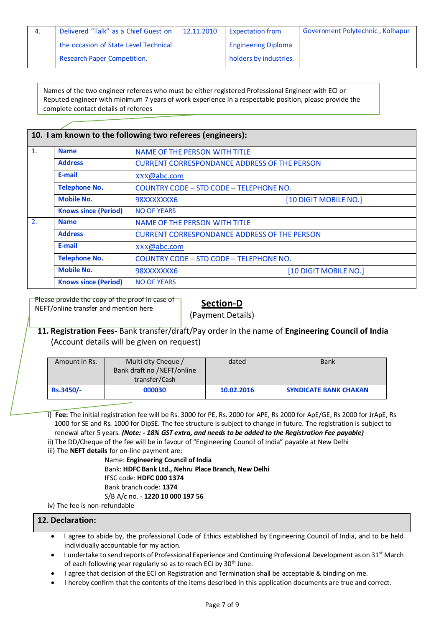| 4. | Delivered "Talk" as a Chief Guest on  | 12.11.2010 | <b>Expectation from</b>    | Government Polytechnic, Kolhapur |
|----|---------------------------------------|------------|----------------------------|----------------------------------|
|    | the occasion of State Level Technical |            | <b>Engineering Diploma</b> |                                  |
|    | <b>Research Paper Competition.</b>    |            | holders by industries.     |                                  |

Names of the two engineer referees who must be either registered Professional Engineer with ECI or Reputed engineer with minimum 7 years of work experience in a respectable position, please provide the complete contact details of referees

|                |                             | 10. I am known to the following two referees (engineers): |                       |  |  |  |  |  |
|----------------|-----------------------------|-----------------------------------------------------------|-----------------------|--|--|--|--|--|
| $\mathbf{1}$ . | <b>Name</b>                 | NAME OF THE PERSON WITH TITLE                             |                       |  |  |  |  |  |
|                | <b>Address</b>              | <b>CURRENT CORRESPONDANCE ADDRESS OF THE PERSON</b>       |                       |  |  |  |  |  |
|                | E-mail                      | xxx@abc.com                                               |                       |  |  |  |  |  |
|                | <b>Telephone No.</b>        | COUNTRY CODE - STD CODE - TELEPHONE NO.                   |                       |  |  |  |  |  |
|                | <b>Mobile No.</b>           | 98XXXXXXX6                                                | [10 DIGIT MOBILE NO.] |  |  |  |  |  |
|                | <b>Knows since (Period)</b> | <b>NO OF YEARS</b>                                        |                       |  |  |  |  |  |
| 2.             | <b>Name</b>                 | NAME OF THE PERSON WITH TITLE                             |                       |  |  |  |  |  |
|                | <b>Address</b>              | <b>CURRENT CORRESPONDANCE ADDRESS OF THE PERSON</b>       |                       |  |  |  |  |  |
|                | E-mail                      | xxx@abc.com                                               |                       |  |  |  |  |  |
|                | <b>Telephone No.</b>        | COUNTRY CODE - STD CODE - TELEPHONE NO.                   |                       |  |  |  |  |  |
|                | <b>Mobile No.</b>           | 98XXXXXXX6                                                | [10 DIGIT MOBILE NO.] |  |  |  |  |  |
|                | <b>Knows since (Period)</b> | <b>NO OF YEARS</b>                                        |                       |  |  |  |  |  |

Please provide the copy of the proof in case of NEFT/online transfer and mention here

#### **Section-D**

(Payment Details)

#### **11. Registration Fees-** Bank transfer/draft/Pay order in the name of **Engineering Council of India** (Account details will be given on request)

| Amount in Rs. | Multi city Cheque /<br>Bank draft no /NEFT/online<br>transfer/Cash | dated      | <b>Bank</b>                  |
|---------------|--------------------------------------------------------------------|------------|------------------------------|
| Rs.3450/-     | 000030                                                             | 10.02.2016 | <b>SYNDICATE BANK CHAKAN</b> |

i) **Fee:** The initial registration fee will be Rs. 3000 for PE, Rs. 2000 for APE, Rs 2000 for ApE/GE, Rs 2000 for JrApE, Rs 1000 for SE and Rs. 1000 for DipSE. The fee structure issubject to change in future. The registration is subject to renewal after 5 years. *(Note: - 18% GST extra, and needs to be added to the Registration Fee payable)*

ii) The DD/Cheque of the fee will be in favour of "Engineering Council of India" payable at New Delhi

iii) The **NEFT details** for on-line payment are:

Name: **Engineering Council of India** Bank: **HDFC Bank Ltd., Nehru Place Branch, New Delhi** IFSC code: **HDFC 000 1374** Bank branch code: **1374** S/B A/c no. - **1220 10 000 197 56**

iv) The fee is non-refundable

#### **12. Declaration:**

- I agree to abide by, the professional Code of Ethics established by Engineering Council of India, and to be held individually accountable for my action.
- I undertake to send reports of Professional Experience and Continuing Professional Development as on 31<sup>st</sup> March of each following year regularly so as to reach ECI by 30<sup>th</sup> June.
- I agree that decision of the ECI on Registration and Termination shall be acceptable & binding on me.
- I hereby confirm that the contents of the items described in this application documents are true and correct.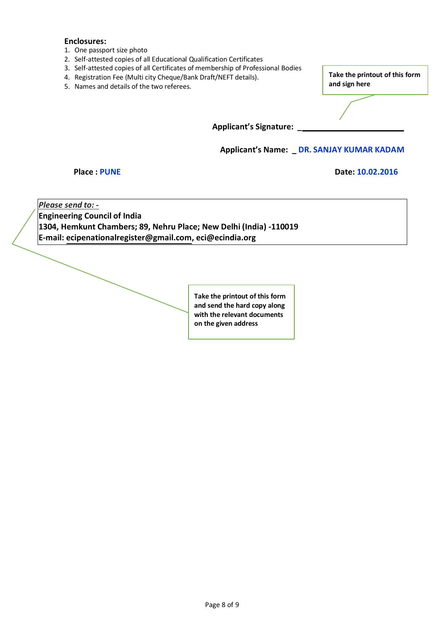#### **Enclosures:**

- 1. One passport size photo
- 2. Self-attested copies of all Educational Qualification Certificates
- 3. Self-attested copies of all Certificates of membership of Professional Bodies
- 4. Registration Fee (Multi city Cheque/Bank Draft/NEFT details).
- 5. Names and details of the two referees.

**Take the printout of this form and sign here**

**Applicant's Signature: \_**

**Applicant's Name: \_ DR. SANJAY KUMAR KADAM** 

#### **Place** : PUNE Date: 10.02.2016

*Please send to: -* **Engineering Council of India 1304, Hemkunt Chambers; 89, Nehru Place; New Delhi (India) -110019 E-mai[l: ecipenationalregister@gmail.com,](mailto:ecipenationalregister@gmail.com) [eci@ecindia.org](mailto:eci@ecindia.org)**

> **Take the printout of this form and send the hard copy along with the relevant documents on the given address**